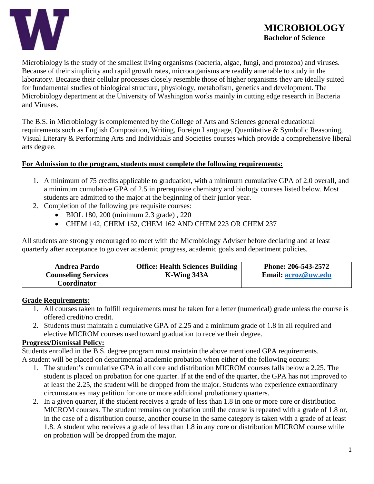

Microbiology is the study of the smallest living organisms (bacteria, algae, fungi, and protozoa) and viruses. Because of their simplicity and rapid growth rates, microorganisms are readily amenable to study in the laboratory. Because their cellular processes closely resemble those of higher organisms they are ideally suited for fundamental studies of biological structure, physiology, metabolism, genetics and development. The Microbiology department at the University of Washington works mainly in cutting edge research in Bacteria and Viruses.

The B.S. in Microbiology is complemented by the College of Arts and Sciences general educational requirements such as English Composition, Writing, Foreign Language, Quantitative & Symbolic Reasoning, Visual Literary & Performing Arts and Individuals and Societies courses which provide a comprehensive liberal arts degree.

#### **For Admission to the program, students must complete the following requirements:**

- 1. A minimum of 75 credits applicable to graduation, with a minimum cumulative GPA of 2.0 overall, and a minimum cumulative GPA of 2.5 in prerequisite chemistry and biology courses listed below. Most students are admitted to the major at the beginning of their junior year.
- 2. Completion of the following pre requisite courses:
	- BIOL 180, 200 (minimum 2.3 grade) , 220
	- CHEM 142, CHEM 152, CHEM 162 AND CHEM 223 OR CHEM 237

All students are strongly encouraged to meet with the Microbiology Adviser before declaring and at least quarterly after acceptance to go over academic progress, academic goals and department policies.

| <b>Andrea Pardo</b>        | <b>Office: Health Sciences Building</b> | Phone: 206-543-2572 |  |
|----------------------------|-----------------------------------------|---------------------|--|
| <b>Counseling Services</b> | K-Wing 343A                             | Email: acroz@uw.edu |  |
| Coordinator                |                                         |                     |  |

#### **Grade Requirements:**

- 1. All courses taken to fulfill requirements must be taken for a letter (numerical) grade unless the course is offered credit/no credit.
- 2. Students must maintain a cumulative GPA of 2.25 and a minimum grade of 1.8 in all required and elective MICROM courses used toward graduation to receive their degree.

#### **Progress/Dismissal Policy:**

Students enrolled in the B.S. degree program must maintain the above mentioned GPA requirements. A student will be placed on departmental academic probation when either of the following occurs:

- 1. The student's cumulative GPA in all core and distribution MICROM courses falls below a 2.25. The student is placed on probation for one quarter. If at the end of the quarter, the GPA has not improved to at least the 2.25, the student will be dropped from the major. Students who experience extraordinary circumstances may petition for one or more additional probationary quarters.
- 2. In a given quarter, if the student receives a grade of less than 1.8 in one or more core or distribution MICROM courses. The student remains on probation until the course is repeated with a grade of 1.8 or, in the case of a distribution course, another course in the same category is taken with a grade of at least 1.8. A student who receives a grade of less than 1.8 in any core or distribution MICROM course while on probation will be dropped from the major.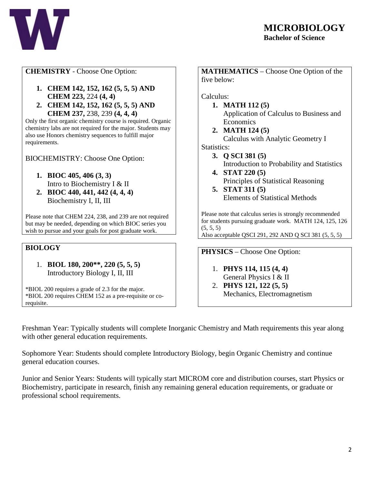

## **CHEMISTRY** - Choose One Option:

- **1. CHEM 142, 152, 162 (5, 5, 5) AND CHEM 223,** 224 **(4, 4)**
- **2. CHEM 142, 152, 162 (5, 5, 5) AND CHEM 237,** 238, 239 **(4, 4, 4)**

Only the first organic chemistry course is required. Organic chemistry labs are not required for the major. Students may also use Honors chemistry sequences to fulfill major requirements.

BIOCHEMISTRY: Choose One Option:

- **1. BIOC 405, 406 (3, 3)**  Intro to Biochemistry I & II
- **2. BIOC 440, 441, 442 (4, 4, 4)** Biochemistry I, II, III

Please note that CHEM 224, 238, and 239 are not required but may be needed, depending on which BIOC series you wish to pursue and your goals for post graduate work.

## **BIOLOGY**

1. **BIOL 180, 200\*\*, 220 (5, 5, 5)** Introductory Biology I, II, III

\*BIOL 200 requires a grade of 2.3 for the major. \*BIOL 200 requires CHEM 152 as a pre-requisite or corequisite.

**MATHEMATICS** – Choose One Option of the five below:

Calculus:

- **1. MATH 112 (5)** Application of Calculus to Business and **Economics**
- **2. MATH 124 (5)** Calculus with Analytic Geometry I

Statistics:

- **3. Q SCI 381 (5)** Introduction to Probability and Statistics
- **4. STAT 220 (5)** Principles of Statistical Reasoning
- **5. STAT 311 (5)** Elements of Statistical Methods

Please note that calculus series is strongly recommended for students pursuing graduate work. MATH 124, 125, 126  $(5, 5, 5)$ 

Also acceptable QSCI 291, 292 AND Q SCI 381 (5, 5, 5)

**PHYSICS** – Choose One Option:

- 1. **PHYS 114, 115 (4, 4)** General Physics I & II
- 2. **PHYS 121, 122 (5, 5)** Mechanics, Electromagnetism

Freshman Year: Typically students will complete Inorganic Chemistry and Math requirements this year along with other general education requirements.

Sophomore Year: Students should complete Introductory Biology, begin Organic Chemistry and continue general education courses.

Junior and Senior Years: Students will typically start MICROM core and distribution courses, start Physics or Biochemistry, participate in research, finish any remaining general education requirements, or graduate or professional school requirements.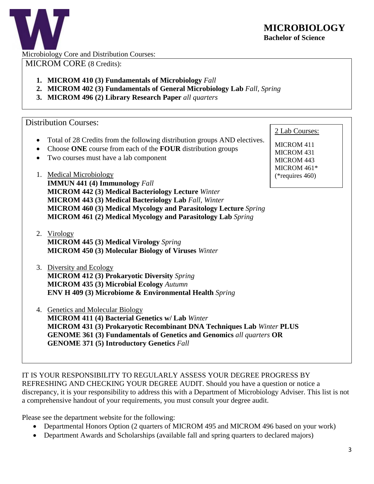

Microbiology Core and Distribution Courses:

MICROM CORE (8 Credits):

- **1. MICROM 410 (3) Fundamentals of Microbiology** *Fall*
- **2. MICROM 402 (3) Fundamentals of General Microbiology Lab** *Fall, Spring*
- **3. MICROM 496 (2) Library Research Paper** *all quarters*

## Distribution Courses:

- Total of 28 Credits from the following distribution groups AND electives.
- Choose **ONE** course from each of the **FOUR** distribution groups
- Two courses must have a lab component
- 1. Medical Microbiology

**IMMUN 441 (4) Immunology** *Fall* **MICROM 442 (3) Medical Bacteriology Lecture** *Winter* **MICROM 443 (3) Medical Bacteriology Lab** *Fall, Winter* **MICROM 460 (3) Medical Mycology and Parasitology Lecture** *Spring* **MICROM 461 (2) Medical Mycology and Parasitology Lab** *Spring*

- 2. Virology **MICROM 445 (3) Medical Virology** *Spring* **MICROM 450 (3) Molecular Biology of Viruses** *Winter*
- 3. Diversity and Ecology **MICROM 412 (3) Prokaryotic Diversity** *Spring* **MICROM 435 (3) Microbial Ecology** *Autumn* **ENV H 409 (3) Microbiome & Environmental Health** *Spring*
- 4. Genetics and Molecular Biology **MICROM 411 (4) Bacterial Genetics w/ Lab** *Winter* **MICROM 431 (3) Prokaryotic Recombinant DNA Techniques Lab** *Winter* **PLUS GENOME 361 (3) Fundamentals of Genetics and Genomics** *all quarters* **OR GENOME 371 (5) Introductory Genetics** *Fall*

2 Lab Courses:

MICROM 411 MICROM 431 MICROM 443 MICROM 461\* (\*requires 460)

IT IS YOUR RESPONSIBILITY TO REGULARLY ASSESS YOUR DEGREE PROGRESS BY REFRESHING AND CHECKING YOUR DEGREE AUDIT. Should you have a question or notice a discrepancy, it is your responsibility to address this with a Department of Microbiology Adviser. This list is not a comprehensive handout of your requirements, you must consult your degree audit.

Please see the department website for the following:

- Departmental Honors Option (2 quarters of MICROM 495 and MICROM 496 based on your work)
- Department Awards and Scholarships (available fall and spring quarters to declared majors)